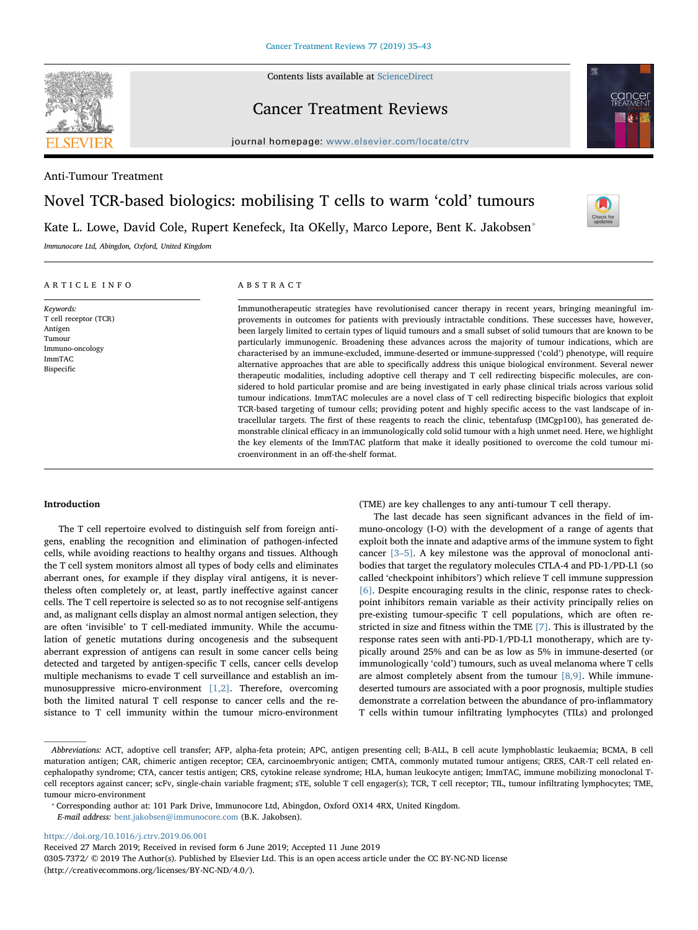

Contents lists available at [ScienceDirect](http://www.sciencedirect.com/science/journal/03057372)

Cancer Treatment Reviews



 $\frac{1}{\sqrt{2}}$ 

journal homepage: [www.elsevier.com/locate/ctrv](https://www.elsevier.com/locate/ctrv)

Anti-Tumour Treatment

Novel TCR-based biologics: mobilising T cells to warm 'cold' tumours

Kate L. Lowe, David Cole, Rupert Kenefeck, Ita OKelly, Marco Lepore, Bent K. Jakobsen<sup>®</sup>

Immunocore Ltd, Abingdon, Oxford, United Kingdom

### ARTICLE INFO

Keywords: T cell receptor (TCR) Antigen Tumour Immuno-oncology ImmTAC Bispecific

# ABSTRACT

Immunotherapeutic strategies have revolutionised cancer therapy in recent years, bringing meaningful improvements in outcomes for patients with previously intractable conditions. These successes have, however, been largely limited to certain types of liquid tumours and a small subset of solid tumours that are known to be particularly immunogenic. Broadening these advances across the majority of tumour indications, which are characterised by an immune-excluded, immune-deserted or immune-suppressed ('cold') phenotype, will require alternative approaches that are able to specifically address this unique biological environment. Several newer therapeutic modalities, including adoptive cell therapy and T cell redirecting bispecific molecules, are considered to hold particular promise and are being investigated in early phase clinical trials across various solid tumour indications. ImmTAC molecules are a novel class of T cell redirecting bispecific biologics that exploit TCR-based targeting of tumour cells; providing potent and highly specific access to the vast landscape of intracellular targets. The first of these reagents to reach the clinic, tebentafusp (IMCgp100), has generated demonstrable clinical efficacy in an immunologically cold solid tumour with a high unmet need. Here, we highlight the key elements of the ImmTAC platform that make it ideally positioned to overcome the cold tumour microenvironment in an off-the-shelf format.

#### Introduction

The T cell repertoire evolved to distinguish self from foreign antigens, enabling the recognition and elimination of pathogen-infected cells, while avoiding reactions to healthy organs and tissues. Although the T cell system monitors almost all types of body cells and eliminates aberrant ones, for example if they display viral antigens, it is nevertheless often completely or, at least, partly ineffective against cancer cells. The T cell repertoire is selected so as to not recognise self-antigens and, as malignant cells display an almost normal antigen selection, they are often 'invisible' to T cell-mediated immunity. While the accumulation of genetic mutations during oncogenesis and the subsequent aberrant expression of antigens can result in some cancer cells being detected and targeted by antigen-specific T cells, cancer cells develop multiple mechanisms to evade T cell surveillance and establish an immunosuppressive micro-environment [\[1,2\]](#page-6-0). Therefore, overcoming both the limited natural T cell response to cancer cells and the resistance to T cell immunity within the tumour micro-environment

(TME) are key challenges to any anti-tumour T cell therapy.

The last decade has seen significant advances in the field of immuno-oncology (I-O) with the development of a range of agents that exploit both the innate and adaptive arms of the immune system to fight cancer [3–[5\].](#page-6-1) A key milestone was the approval of monoclonal antibodies that target the regulatory molecules CTLA-4 and PD-1/PD-L1 (so called 'checkpoint inhibitors') which relieve T cell immune suppression [\[6\].](#page-6-2) Despite encouraging results in the clinic, response rates to checkpoint inhibitors remain variable as their activity principally relies on pre-existing tumour-specific T cell populations, which are often restricted in size and fitness within the TME [\[7\]](#page-6-3). This is illustrated by the response rates seen with anti-PD-1/PD-L1 monotherapy, which are typically around 25% and can be as low as 5% in immune-deserted (or immunologically 'cold') tumours, such as uveal melanoma where T cells are almost completely absent from the tumour  $[8,9]$ . While immunedeserted tumours are associated with a poor prognosis, multiple studies demonstrate a correlation between the abundance of pro-inflammatory T cells within tumour infiltrating lymphocytes (TILs) and prolonged

<https://doi.org/10.1016/j.ctrv.2019.06.001>

0305-7372/ © 2019 The Author(s). Published by Elsevier Ltd. This is an open access article under the CC BY-NC-ND license (http://creativecommons.org/licenses/BY-NC-ND/4.0/).

Abbreviations: ACT, adoptive cell transfer; AFP, alpha-feta protein; APC, antigen presenting cell; B-ALL, B cell acute lymphoblastic leukaemia; BCMA, B cell maturation antigen; CAR, chimeric antigen receptor; CEA, carcinoembryonic antigen; CMTA, commonly mutated tumour antigens; CRES, CAR-T cell related encephalopathy syndrome; CTA, cancer testis antigen; CRS, cytokine release syndrome; HLA, human leukocyte antigen; ImmTAC, immune mobilizing monoclonal Tcell receptors against cancer; scFv, single-chain variable fragment; sTE, soluble T cell engager(s); TCR, T cell receptor; TIL, tumour infiltrating lymphocytes; TME, tumour micro-environment

<span id="page-0-0"></span><sup>⁎</sup> Corresponding author at: 101 Park Drive, Immunocore Ltd, Abingdon, Oxford OX14 4RX, United Kingdom.

E-mail address: [bent.jakobsen@immunocore.com](mailto:bent.jakobsen@immunocore.com) (B.K. Jakobsen).

Received 27 March 2019; Received in revised form 6 June 2019; Accepted 11 June 2019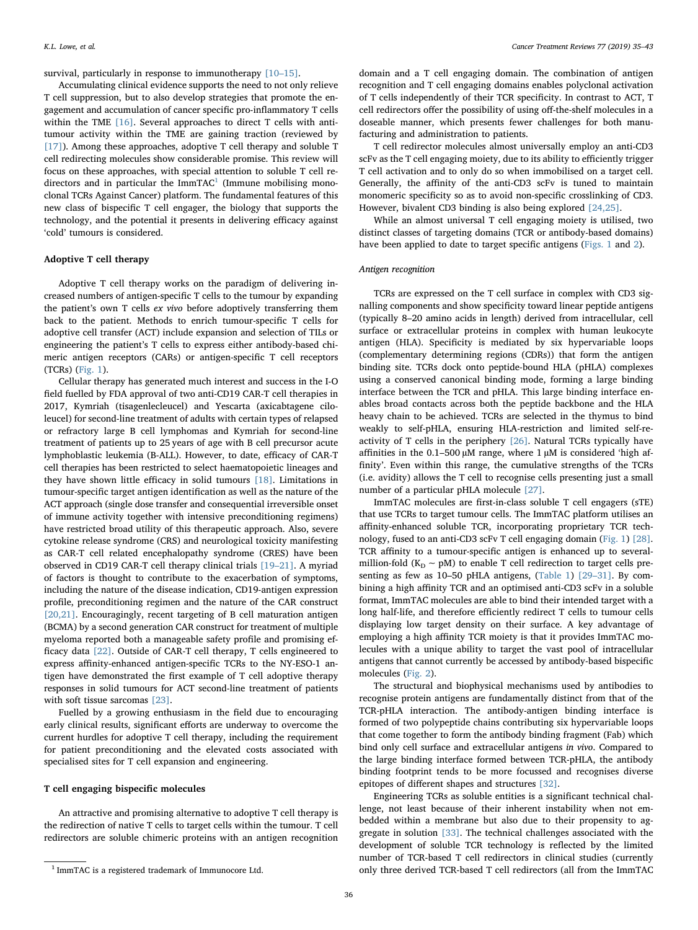survival, particularly in response to immunotherapy [10–[15\].](#page-7-0)

Accumulating clinical evidence supports the need to not only relieve T cell suppression, but to also develop strategies that promote the engagement and accumulation of cancer specific pro-inflammatory T cells within the TME [\[16\].](#page-7-1) Several approaches to direct T cells with antitumour activity within the TME are gaining traction (reviewed by [\[17\]](#page-7-2)). Among these approaches, adoptive T cell therapy and soluble T cell redirecting molecules show considerable promise. This review will focus on these approaches, with special attention to soluble T cell redirectors and in particular the  $ImmTAC<sup>1</sup>$  (Immune mobilising monoclonal TCRs Against Cancer) platform. The fundamental features of this new class of bispecific T cell engager, the biology that supports the technology, and the potential it presents in delivering efficacy against 'cold' tumours is considered.

#### Adoptive T cell therapy

Adoptive T cell therapy works on the paradigm of delivering increased numbers of antigen-specific T cells to the tumour by expanding the patient's own T cells ex vivo before adoptively transferring them back to the patient. Methods to enrich tumour-specific T cells for adoptive cell transfer (ACT) include expansion and selection of TILs or engineering the patient's T cells to express either antibody-based chimeric antigen receptors (CARs) or antigen-specific T cell receptors (TCRs) [\(Fig. 1\)](#page-2-0).

Cellular therapy has generated much interest and success in the I-O field fuelled by FDA approval of two anti-CD19 CAR-T cell therapies in 2017, Kymriah (tisagenlecleucel) and Yescarta (axicabtagene ciloleucel) for second-line treatment of adults with certain types of relapsed or refractory large B cell lymphomas and Kymriah for second-line treatment of patients up to 25 years of age with B cell precursor acute lymphoblastic leukemia (B-ALL). However, to date, efficacy of CAR-T cell therapies has been restricted to select haematopoietic lineages and they have shown little efficacy in solid tumours [\[18\].](#page-7-3) Limitations in tumour-specific target antigen identification as well as the nature of the ACT approach (single dose transfer and consequential irreversible onset of immune activity together with intensive preconditioning regimens) have restricted broad utility of this therapeutic approach. Also, severe cytokine release syndrome (CRS) and neurological toxicity manifesting as CAR-T cell related encephalopathy syndrome (CRES) have been observed in CD19 CAR-T cell therapy clinical trials [19–[21\].](#page-7-4) A myriad of factors is thought to contribute to the exacerbation of symptoms, including the nature of the disease indication, CD19-antigen expression profile, preconditioning regimen and the nature of the CAR construct [\[20,21\].](#page-7-5) Encouragingly, recent targeting of B cell maturation antigen (BCMA) by a second generation CAR construct for treatment of multiple myeloma reported both a manageable safety profile and promising efficacy data [\[22\]](#page-7-6). Outside of CAR-T cell therapy, T cells engineered to express affinity-enhanced antigen-specific TCRs to the NY-ESO-1 antigen have demonstrated the first example of T cell adoptive therapy responses in solid tumours for ACT second-line treatment of patients with soft tissue sarcomas [\[23\]](#page-7-7).

Fuelled by a growing enthusiasm in the field due to encouraging early clinical results, significant efforts are underway to overcome the current hurdles for adoptive T cell therapy, including the requirement for patient preconditioning and the elevated costs associated with specialised sites for T cell expansion and engineering.

# T cell engaging bispecific molecules

An attractive and promising alternative to adoptive T cell therapy is the redirection of native T cells to target cells within the tumour. T cell redirectors are soluble chimeric proteins with an antigen recognition

domain and a T cell engaging domain. The combination of antigen recognition and T cell engaging domains enables polyclonal activation of T cells independently of their TCR specificity. In contrast to ACT, T cell redirectors offer the possibility of using off-the-shelf molecules in a doseable manner, which presents fewer challenges for both manufacturing and administration to patients.

T cell redirector molecules almost universally employ an anti-CD3 scFv as the T cell engaging moiety, due to its ability to efficiently trigger T cell activation and to only do so when immobilised on a target cell. Generally, the affinity of the anti-CD3 scFv is tuned to maintain monomeric specificity so as to avoid non-specific crosslinking of CD3. However, bivalent CD3 binding is also being explored [\[24,25\].](#page-7-8)

While an almost universal T cell engaging moiety is utilised, two distinct classes of targeting domains (TCR or antibody-based domains) have been applied to date to target specific antigens ([Figs. 1](#page-2-0) and [2](#page-3-0)).

# Antigen recognition

TCRs are expressed on the T cell surface in complex with CD3 signalling components and show specificity toward linear peptide antigens (typically 8–20 amino acids in length) derived from intracellular, cell surface or extracellular proteins in complex with human leukocyte antigen (HLA). Specificity is mediated by six hypervariable loops (complementary determining regions (CDRs)) that form the antigen binding site. TCRs dock onto peptide-bound HLA (pHLA) complexes using a conserved canonical binding mode, forming a large binding interface between the TCR and pHLA. This large binding interface enables broad contacts across both the peptide backbone and the HLA heavy chain to be achieved. TCRs are selected in the thymus to bind weakly to self-pHLA, ensuring HLA-restriction and limited self-reactivity of T cells in the periphery [\[26\].](#page-7-9) Natural TCRs typically have affinities in the 0.1-500  $\mu$ M range, where 1  $\mu$ M is considered 'high affinity'. Even within this range, the cumulative strengths of the TCRs (i.e. avidity) allows the T cell to recognise cells presenting just a small number of a particular pHLA molecule [\[27\].](#page-7-10)

ImmTAC molecules are first-in-class soluble T cell engagers (sTE) that use TCRs to target tumour cells. The ImmTAC platform utilises an affinity-enhanced soluble TCR, incorporating proprietary TCR technology, fused to an anti-CD3 scFv T cell engaging domain ([Fig. 1\)](#page-2-0) [\[28\]](#page-7-11). TCR affinity to a tumour-specific antigen is enhanced up to severalmillion-fold ( $K_D \sim pM$ ) to enable T cell redirection to target cells presenting as few as 10–50 pHLA antigens, ([Table 1](#page-3-1)) [29–[31\]](#page-7-12). By combining a high affinity TCR and an optimised anti-CD3 scFv in a soluble format, ImmTAC molecules are able to bind their intended target with a long half-life, and therefore efficiently redirect T cells to tumour cells displaying low target density on their surface. A key advantage of employing a high affinity TCR moiety is that it provides ImmTAC molecules with a unique ability to target the vast pool of intracellular antigens that cannot currently be accessed by antibody-based bispecific molecules [\(Fig. 2\)](#page-3-0).

The structural and biophysical mechanisms used by antibodies to recognise protein antigens are fundamentally distinct from that of the TCR-pHLA interaction. The antibody-antigen binding interface is formed of two polypeptide chains contributing six hypervariable loops that come together to form the antibody binding fragment (Fab) which bind only cell surface and extracellular antigens in vivo. Compared to the large binding interface formed between TCR-pHLA, the antibody binding footprint tends to be more focussed and recognises diverse epitopes of different shapes and structures [\[32\].](#page-7-13)

Engineering TCRs as soluble entities is a significant technical challenge, not least because of their inherent instability when not embedded within a membrane but also due to their propensity to aggregate in solution [\[33\].](#page-7-14) The technical challenges associated with the development of soluble TCR technology is reflected by the limited number of TCR-based T cell redirectors in clinical studies (currently <sup>1</sup> ImmTAC is a registered trademark of Immunocore Ltd.  $\qquad \qquad$  only three derived TCR-based T cell redirectors (all from the ImmTAC

<span id="page-1-0"></span>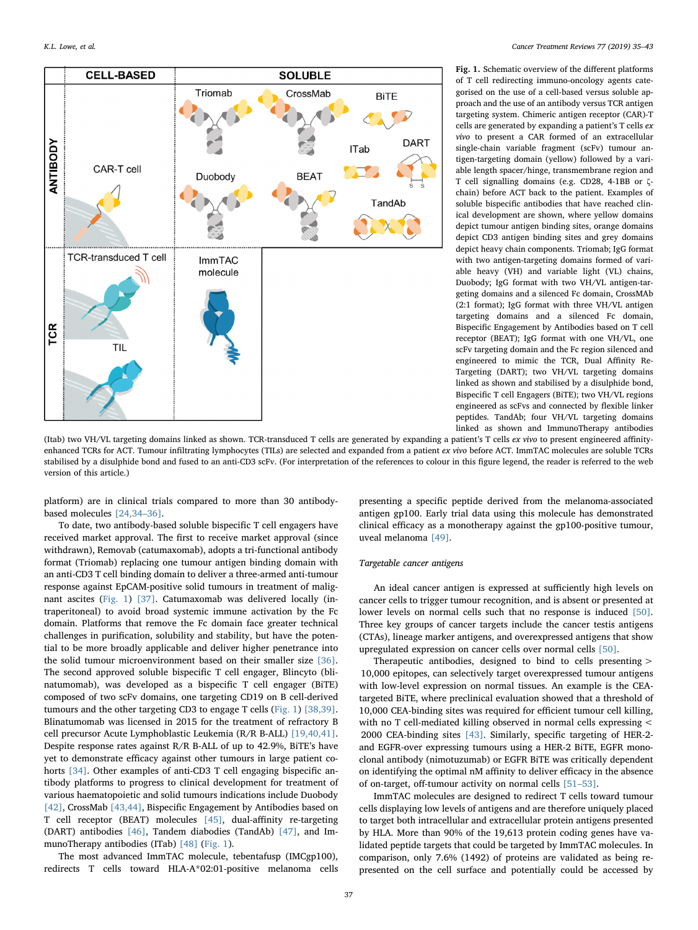<span id="page-2-0"></span>

Fig. 1. Schematic overview of the different platforms of T cell redirecting immuno-oncology agents categorised on the use of a cell-based versus soluble approach and the use of an antibody versus TCR antigen targeting system. Chimeric antigen receptor (CAR)-T cells are generated by expanding a patient's T cells ex vivo to present a CAR formed of an extracellular single-chain variable fragment (scFv) tumour antigen-targeting domain (yellow) followed by a variable length spacer/hinge, transmembrane region and T cell signalling domains (e.g. CD28, 4-1BB or ζchain) before ACT back to the patient. Examples of soluble bispecific antibodies that have reached clinical development are shown, where yellow domains depict tumour antigen binding sites, orange domains depict CD3 antigen binding sites and grey domains depict heavy chain components. Triomab; IgG format with two antigen-targeting domains formed of variable heavy (VH) and variable light (VL) chains, Duobody; IgG format with two VH/VL antigen-targeting domains and a silenced Fc domain, CrossMAb (2:1 format); IgG format with three VH/VL antigen targeting domains and a silenced Fc domain, Bispecific Engagement by Antibodies based on T cell receptor (BEAT); IgG format with one VH/VL, one scFv targeting domain and the Fc region silenced and engineered to mimic the TCR, Dual Affinity Re-Targeting (DART); two VH/VL targeting domains linked as shown and stabilised by a disulphide bond, Bispecific T cell Engagers (BiTE); two VH/VL regions engineered as scFvs and connected by flexible linker peptides. TandAb; four VH/VL targeting domains linked as shown and ImmunoTherapy antibodies

(Itab) two VH/VL targeting domains linked as shown. TCR-transduced T cells are generated by expanding a patient's T cells ex vivo to present engineered affinityenhanced TCRs for ACT. Tumour infiltrating lymphocytes (TILs) are selected and expanded from a patient ex vivo before ACT. ImmTAC molecules are soluble TCRs stabilised by a disulphide bond and fused to an anti-CD3 scFv. (For interpretation of the references to colour in this figure legend, the reader is referred to the web version of this article.)

platform) are in clinical trials compared to more than 30 antibodybased molecules [\[24,34](#page-7-8)–36].

To date, two antibody-based soluble bispecific T cell engagers have received market approval. The first to receive market approval (since withdrawn), Removab (catumaxomab), adopts a tri-functional antibody format (Triomab) replacing one tumour antigen binding domain with an anti-CD3 T cell binding domain to deliver a three-armed anti-tumour response against EpCAM-positive solid tumours in treatment of malignant ascites ([Fig. 1\)](#page-2-0) [\[37\].](#page-7-15) Catumaxomab was delivered locally (intraperitoneal) to avoid broad systemic immune activation by the Fc domain. Platforms that remove the Fc domain face greater technical challenges in purification, solubility and stability, but have the potential to be more broadly applicable and deliver higher penetrance into the solid tumour microenvironment based on their smaller size [\[36\]](#page-7-16). The second approved soluble bispecific T cell engager, Blincyto (blinatumomab), was developed as a bispecific T cell engager (BiTE) composed of two scFv domains, one targeting CD19 on B cell-derived tumours and the other targeting CD3 to engage T cells [\(Fig. 1](#page-2-0)) [\[38,39\]](#page-7-17). Blinatumomab was licensed in 2015 for the treatment of refractory B cell precursor Acute Lymphoblastic Leukemia (R/R B-ALL) [\[19,40,41\]](#page-7-4). Despite response rates against R/R B-ALL of up to 42.9%, BiTE's have yet to demonstrate efficacy against other tumours in large patient cohorts [\[34\]](#page-7-18). Other examples of anti-CD3 T cell engaging bispecific antibody platforms to progress to clinical development for treatment of various haematopoietic and solid tumours indications include Duobody [\[42\]](#page-7-19), CrossMab [\[43,44\]](#page-7-20), Bispecific Engagement by Antibodies based on T cell receptor (BEAT) molecules [\[45\],](#page-7-21) dual-affinity re-targeting (DART) antibodies [\[46\]](#page-7-22), Tandem diabodies (TandAb) [\[47\],](#page-7-23) and ImmunoTherapy antibodies (ITab) [\[48\]](#page-7-24) ([Fig. 1\)](#page-2-0).

The most advanced ImmTAC molecule, tebentafusp (IMCgp100), redirects T cells toward HLA-A\*02:01-positive melanoma cells presenting a specific peptide derived from the melanoma-associated antigen gp100. Early trial data using this molecule has demonstrated clinical efficacy as a monotherapy against the gp100-positive tumour, uveal melanoma [\[49\]](#page-7-25).

#### Targetable cancer antigens

An ideal cancer antigen is expressed at sufficiently high levels on cancer cells to trigger tumour recognition, and is absent or presented at lower levels on normal cells such that no response is induced [\[50\]](#page-7-26). Three key groups of cancer targets include the cancer testis antigens (CTAs), lineage marker antigens, and overexpressed antigens that show upregulated expression on cancer cells over normal cells [\[50\].](#page-7-26)

Therapeutic antibodies, designed to bind to cells presenting > 10,000 epitopes, can selectively target overexpressed tumour antigens with low-level expression on normal tissues. An example is the CEAtargeted BiTE, where preclinical evaluation showed that a threshold of 10,000 CEA-binding sites was required for efficient tumour cell killing, with no T cell-mediated killing observed in normal cells expressing < 2000 CEA-binding sites [\[43\].](#page-7-20) Similarly, specific targeting of HER-2 and EGFR-over expressing tumours using a HER-2 BiTE, EGFR monoclonal antibody (nimotuzumab) or EGFR BiTE was critically dependent on identifying the optimal nM affinity to deliver efficacy in the absence of on-target, off-tumour activity on normal cells [51–[53\]](#page-7-27).

ImmTAC molecules are designed to redirect T cells toward tumour cells displaying low levels of antigens and are therefore uniquely placed to target both intracellular and extracellular protein antigens presented by HLA. More than 90% of the 19,613 protein coding genes have validated peptide targets that could be targeted by ImmTAC molecules. In comparison, only 7.6% (1492) of proteins are validated as being represented on the cell surface and potentially could be accessed by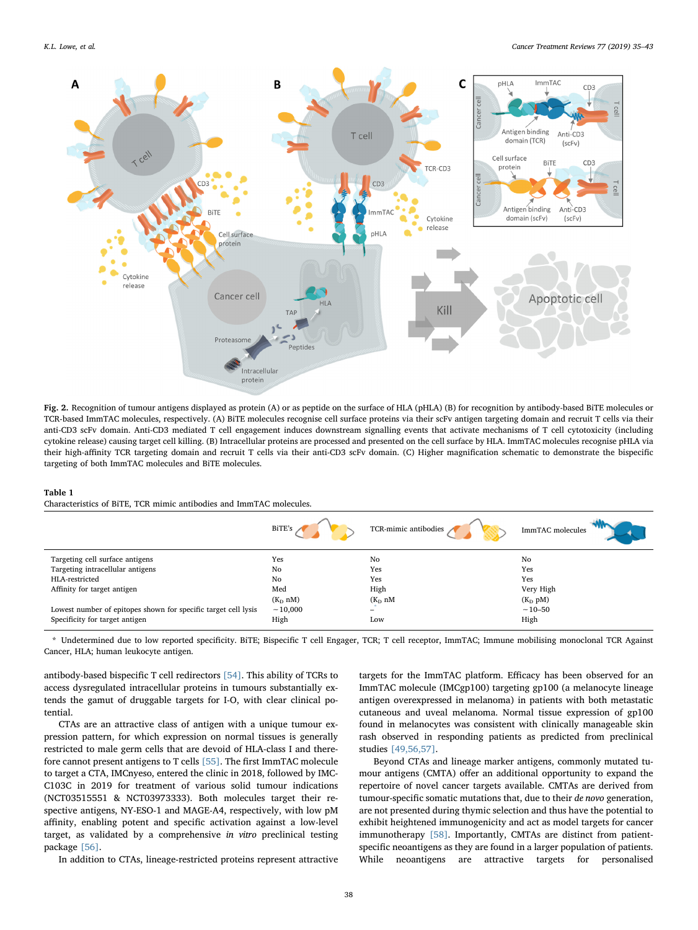<span id="page-3-0"></span>

Fig. 2. Recognition of tumour antigens displayed as protein (A) or as peptide on the surface of HLA (pHLA) (B) for recognition by antibody-based BiTE molecules or TCR-based ImmTAC molecules, respectively. (A) BiTE molecules recognise cell surface proteins via their scFv antigen targeting domain and recruit T cells via their anti-CD3 scFv domain. Anti-CD3 mediated T cell engagement induces downstream signalling events that activate mechanisms of T cell cytotoxicity (including cytokine release) causing target cell killing. (B) Intracellular proteins are processed and presented on the cell surface by HLA. ImmTAC molecules recognise pHLA via their high-affinity TCR targeting domain and recruit T cells via their anti-CD3 scFv domain. (C) Higher magnification schematic to demonstrate the bispecific targeting of both ImmTAC molecules and BiTE molecules.

### <span id="page-3-1"></span>Table 1

Characteristics of BiTE, TCR mimic antibodies and ImmTAC molecules.

|                                                                | BiTE's             | TCR-mimic antibodies | ImmTAC molecules   |
|----------------------------------------------------------------|--------------------|----------------------|--------------------|
| Targeting cell surface antigens                                | Yes                | No                   | No                 |
| Targeting intracellular antigens                               | No                 | Yes                  | Yes                |
| HLA-restricted                                                 | No                 | Yes                  | Yes                |
| Affinity for target antigen                                    | Med                | High                 | Very High          |
|                                                                | $(K_D \text{ nM})$ | $(K_D nM)$           | $(K_D \text{ pM})$ |
| Lowest number of epitopes shown for specific target cell lysis | ~10,000            | -                    | $~10 - 50$         |
| Specificity for target antigen                                 | High               | Low                  | High               |

<span id="page-3-2"></span>\* Undetermined due to low reported specificity. BiTE; Bispecific T cell Engager, TCR; T cell receptor, ImmTAC; Immune mobilising monoclonal TCR Against Cancer, HLA; human leukocyte antigen.

antibody-based bispecific T cell redirectors [\[54\]](#page-7-28). This ability of TCRs to access dysregulated intracellular proteins in tumours substantially extends the gamut of druggable targets for I-O, with clear clinical potential.

CTAs are an attractive class of antigen with a unique tumour expression pattern, for which expression on normal tissues is generally restricted to male germ cells that are devoid of HLA-class I and therefore cannot present antigens to T cells [\[55\].](#page-7-29) The first ImmTAC molecule to target a CTA, IMCnyeso, entered the clinic in 2018, followed by IMC-C103C in 2019 for treatment of various solid tumour indications (NCT03515551 & NCT03973333). Both molecules target their respective antigens, NY-ESO-1 and MAGE-A4, respectively, with low pM affinity, enabling potent and specific activation against a low-level target, as validated by a comprehensive in vitro preclinical testing package [\[56\].](#page-7-30)

In addition to CTAs, lineage-restricted proteins represent attractive

targets for the ImmTAC platform. Efficacy has been observed for an ImmTAC molecule (IMCgp100) targeting gp100 (a melanocyte lineage antigen overexpressed in melanoma) in patients with both metastatic cutaneous and uveal melanoma. Normal tissue expression of gp100 found in melanocytes was consistent with clinically manageable skin rash observed in responding patients as predicted from preclinical studies [\[49,56,57\].](#page-7-25)

Beyond CTAs and lineage marker antigens, commonly mutated tumour antigens (CMTA) offer an additional opportunity to expand the repertoire of novel cancer targets available. CMTAs are derived from tumour-specific somatic mutations that, due to their de novo generation, are not presented during thymic selection and thus have the potential to exhibit heightened immunogenicity and act as model targets for cancer immunotherapy [\[58\]](#page-7-31). Importantly, CMTAs are distinct from patientspecific neoantigens as they are found in a larger population of patients. While neoantigens are attractive targets for personalised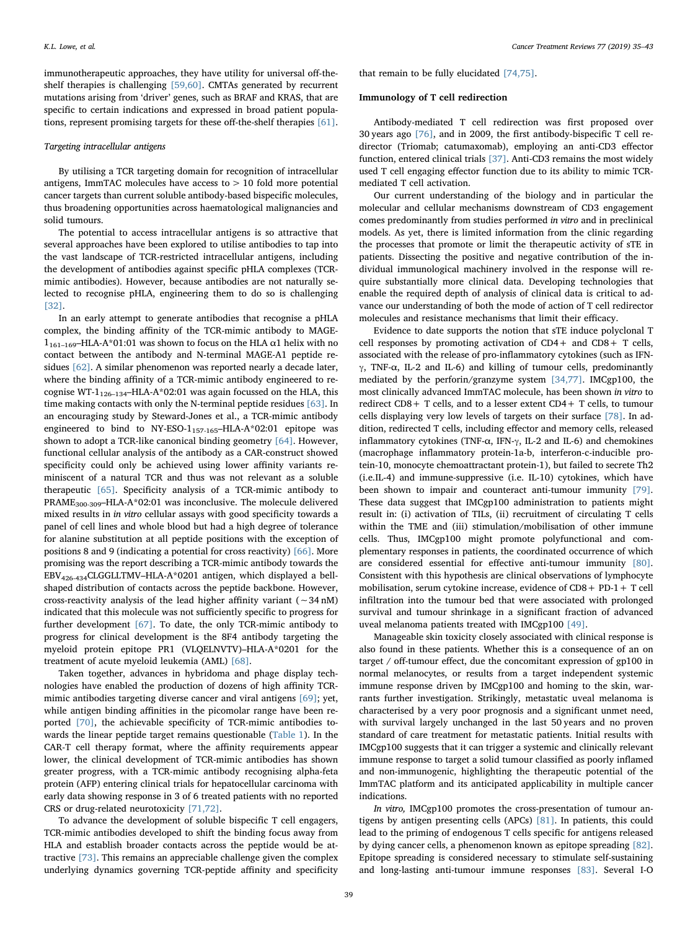K.L. Lowe, et al. *Cancer Treatment Reviews 77 (2019) 35–43*

immunotherapeutic approaches, they have utility for universal off-theshelf therapies is challenging [\[59,60\]](#page-7-32). CMTAs generated by recurrent mutations arising from 'driver' genes, such as BRAF and KRAS, that are specific to certain indications and expressed in broad patient populations, represent promising targets for these off-the-shelf therapies [\[61\]](#page-7-33).

# Targeting intracellular antigens

By utilising a TCR targeting domain for recognition of intracellular antigens, ImmTAC molecules have access to  $> 10$  fold more potential cancer targets than current soluble antibody-based bispecific molecules, thus broadening opportunities across haematological malignancies and solid tumours.

The potential to access intracellular antigens is so attractive that several approaches have been explored to utilise antibodies to tap into the vast landscape of TCR-restricted intracellular antigens, including the development of antibodies against specific pHLA complexes (TCRmimic antibodies). However, because antibodies are not naturally selected to recognise pHLA, engineering them to do so is challenging [\[32\]](#page-7-13).

In an early attempt to generate antibodies that recognise a pHLA complex, the binding affinity of the TCR-mimic antibody to MAGE- $1_{161-169}$ –HLA-A\*01:01 was shown to focus on the HLA α1 helix with no contact between the antibody and N-terminal MAGE-A1 peptide residues [\[62\]](#page-7-34). A similar phenomenon was reported nearly a decade later, where the binding affinity of a TCR-mimic antibody engineered to recognise WT- $1_{126-134}$ –HLA-A\*02:01 was again focussed on the HLA, this time making contacts with only the N-terminal peptide residues [\[63\]](#page-7-35). In an encouraging study by Steward-Jones et al., a TCR-mimic antibody engineered to bind to NY-ESO-1<sub>157-165</sub>-HLA-A\*02:01 epitope was shown to adopt a TCR-like canonical binding geometry [\[64\]](#page-7-36). However, functional cellular analysis of the antibody as a CAR-construct showed specificity could only be achieved using lower affinity variants reminiscent of a natural TCR and thus was not relevant as a soluble therapeutic [\[65\]](#page-7-37). Specificity analysis of a TCR-mimic antibody to PRAME300-309–HLA-A\*02:01 was inconclusive. The molecule delivered mixed results in in vitro cellular assays with good specificity towards a panel of cell lines and whole blood but had a high degree of tolerance for alanine substitution at all peptide positions with the exception of positions 8 and 9 (indicating a potential for cross reactivity) [\[66\]](#page-7-38). More promising was the report describing a TCR-mimic antibody towards the EBV426-434CLGGLLTMV–HLA-A\*0201 antigen, which displayed a bellshaped distribution of contacts across the peptide backbone. However, cross-reactivity analysis of the lead higher affinity variant (∼34 nM) indicated that this molecule was not sufficiently specific to progress for further development [\[67\].](#page-7-39) To date, the only TCR-mimic antibody to progress for clinical development is the 8F4 antibody targeting the myeloid protein epitope PR1 (VLQELNVTV)–HLA-A\*0201 for the treatment of acute myeloid leukemia (AML) [\[68\].](#page-7-40)

Taken together, advances in hybridoma and phage display technologies have enabled the production of dozens of high affinity TCRmimic antibodies targeting diverse cancer and viral antigens [\[69\];](#page-7-41) yet, while antigen binding affinities in the picomolar range have been reported [\[70\]](#page-7-42), the achievable specificity of TCR-mimic antibodies towards the linear peptide target remains questionable ([Table 1](#page-3-1)). In the CAR-T cell therapy format, where the affinity requirements appear lower, the clinical development of TCR-mimic antibodies has shown greater progress, with a TCR-mimic antibody recognising alpha-feta protein (AFP) entering clinical trials for hepatocellular carcinoma with early data showing response in 3 of 6 treated patients with no reported CRS or drug-related neurotoxicity [\[71,72\]](#page-8-0).

To advance the development of soluble bispecific T cell engagers, TCR-mimic antibodies developed to shift the binding focus away from HLA and establish broader contacts across the peptide would be attractive [\[73\]](#page-8-1). This remains an appreciable challenge given the complex underlying dynamics governing TCR-peptide affinity and specificity

that remain to be fully elucidated [\[74,75\]](#page-8-2).

### Immunology of T cell redirection

Antibody-mediated T cell redirection was first proposed over 30 years ago [\[76\],](#page-8-3) and in 2009, the first antibody-bispecific T cell redirector (Triomab; catumaxomab), employing an anti-CD3 effector function, entered clinical trials [\[37\]](#page-7-15). Anti-CD3 remains the most widely used T cell engaging effector function due to its ability to mimic TCRmediated T cell activation.

Our current understanding of the biology and in particular the molecular and cellular mechanisms downstream of CD3 engagement comes predominantly from studies performed in vitro and in preclinical models. As yet, there is limited information from the clinic regarding the processes that promote or limit the therapeutic activity of sTE in patients. Dissecting the positive and negative contribution of the individual immunological machinery involved in the response will require substantially more clinical data. Developing technologies that enable the required depth of analysis of clinical data is critical to advance our understanding of both the mode of action of T cell redirector molecules and resistance mechanisms that limit their efficacy.

Evidence to date supports the notion that sTE induce polyclonal T cell responses by promoting activation of CD4+ and CD8+ T cells, associated with the release of pro-inflammatory cytokines (such as IFNγ, TNF-α, IL-2 and IL-6) and killing of tumour cells, predominantly mediated by the perforin/granzyme system [\[34,77\]](#page-7-18). IMCgp100, the most clinically advanced ImmTAC molecule, has been shown in vitro to redirect CD8+ T cells, and to a lesser extent CD4+ T cells, to tumour cells displaying very low levels of targets on their surface [\[78\].](#page-8-4) In addition, redirected T cells, including effector and memory cells, released inflammatory cytokines (TNF-α, IFN-γ, IL-2 and IL-6) and chemokines (macrophage inflammatory protein-1a-b, interferon-c-inducible protein-10, monocyte chemoattractant protein-1), but failed to secrete Th2 (i.e.IL-4) and immune-suppressive (i.e. IL-10) cytokines, which have been shown to impair and counteract anti-tumour immunity [\[79\]](#page-8-5). These data suggest that IMCgp100 administration to patients might result in: (i) activation of TILs, (ii) recruitment of circulating T cells within the TME and (iii) stimulation/mobilisation of other immune cells. Thus, IMCgp100 might promote polyfunctional and complementary responses in patients, the coordinated occurrence of which are considered essential for effective anti-tumour immunity [\[80\]](#page-8-6). Consistent with this hypothesis are clinical observations of lymphocyte mobilisation, serum cytokine increase, evidence of CD8+ PD-1+ T cell infiltration into the tumour bed that were associated with prolonged survival and tumour shrinkage in a significant fraction of advanced uveal melanoma patients treated with IMCgp100 [\[49\].](#page-7-25)

Manageable skin toxicity closely associated with clinical response is also found in these patients. Whether this is a consequence of an on target / off-tumour effect, due the concomitant expression of gp100 in normal melanocytes, or results from a target independent systemic immune response driven by IMCgp100 and homing to the skin, warrants further investigation. Strikingly, metastatic uveal melanoma is characterised by a very poor prognosis and a significant unmet need, with survival largely unchanged in the last 50 years and no proven standard of care treatment for metastatic patients. Initial results with IMCgp100 suggests that it can trigger a systemic and clinically relevant immune response to target a solid tumour classified as poorly inflamed and non-immunogenic, highlighting the therapeutic potential of the ImmTAC platform and its anticipated applicability in multiple cancer indications.

In vitro, IMCgp100 promotes the cross-presentation of tumour antigens by antigen presenting cells (APCs) [\[81\]](#page-8-7). In patients, this could lead to the priming of endogenous T cells specific for antigens released by dying cancer cells, a phenomenon known as epitope spreading [\[82\]](#page-8-8). Epitope spreading is considered necessary to stimulate self-sustaining and long-lasting anti-tumour immune responses [\[83\]](#page-8-9). Several I-O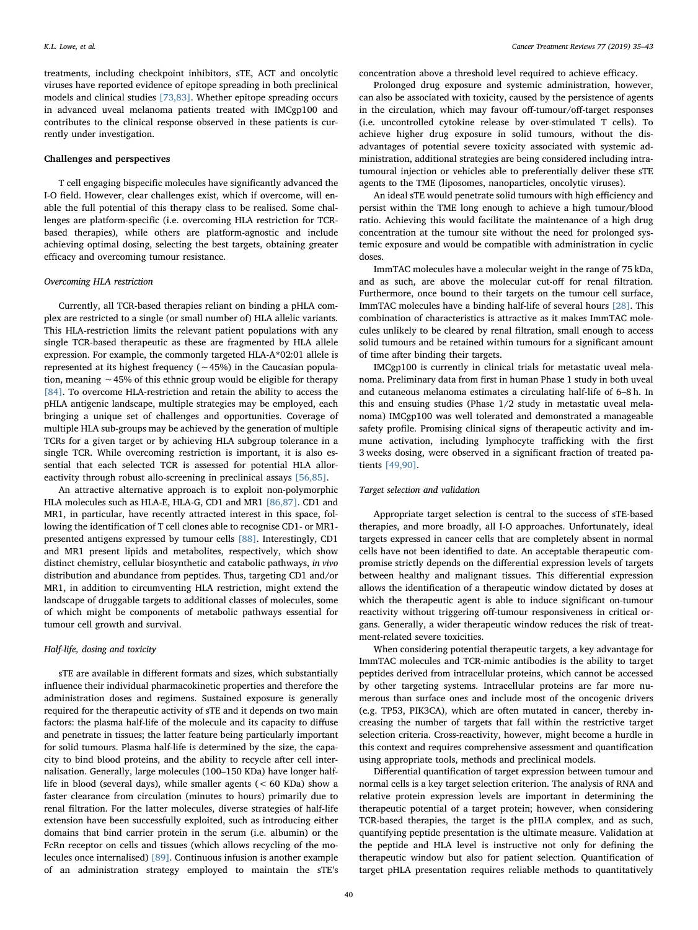K.L. Lowe, et al. *Cancer Treatment Reviews 77 (2019) 35–43*

treatments, including checkpoint inhibitors, sTE, ACT and oncolytic viruses have reported evidence of epitope spreading in both preclinical models and clinical studies [\[73,83\].](#page-8-1) Whether epitope spreading occurs in advanced uveal melanoma patients treated with IMCgp100 and contributes to the clinical response observed in these patients is currently under investigation.

# Challenges and perspectives

T cell engaging bispecific molecules have significantly advanced the I-O field. However, clear challenges exist, which if overcome, will enable the full potential of this therapy class to be realised. Some challenges are platform-specific (i.e. overcoming HLA restriction for TCRbased therapies), while others are platform-agnostic and include achieving optimal dosing, selecting the best targets, obtaining greater efficacy and overcoming tumour resistance.

# Overcoming HLA restriction

Currently, all TCR-based therapies reliant on binding a pHLA complex are restricted to a single (or small number of) HLA allelic variants. This HLA-restriction limits the relevant patient populations with any single TCR-based therapeutic as these are fragmented by HLA allele expression. For example, the commonly targeted HLA-A\*02:01 allele is represented at its highest frequency (∼45%) in the Caucasian population, meaning ∼45% of this ethnic group would be eligible for therapy [\[84\]](#page-8-10). To overcome HLA-restriction and retain the ability to access the pHLA antigenic landscape, multiple strategies may be employed, each bringing a unique set of challenges and opportunities. Coverage of multiple HLA sub-groups may be achieved by the generation of multiple TCRs for a given target or by achieving HLA subgroup tolerance in a single TCR. While overcoming restriction is important, it is also essential that each selected TCR is assessed for potential HLA alloreactivity through robust allo-screening in preclinical assays [\[56,85\].](#page-7-30)

An attractive alternative approach is to exploit non-polymorphic HLA molecules such as HLA-E, HLA-G, CD1 and MR1 [\[86,87\].](#page-8-11) CD1 and MR1, in particular, have recently attracted interest in this space, following the identification of T cell clones able to recognise CD1- or MR1 presented antigens expressed by tumour cells [\[88\].](#page-8-12) Interestingly, CD1 and MR1 present lipids and metabolites, respectively, which show distinct chemistry, cellular biosynthetic and catabolic pathways, in vivo distribution and abundance from peptides. Thus, targeting CD1 and/or MR1, in addition to circumventing HLA restriction, might extend the landscape of druggable targets to additional classes of molecules, some of which might be components of metabolic pathways essential for tumour cell growth and survival.

#### Half-life, dosing and toxicity

sTE are available in different formats and sizes, which substantially influence their individual pharmacokinetic properties and therefore the administration doses and regimens. Sustained exposure is generally required for the therapeutic activity of sTE and it depends on two main factors: the plasma half-life of the molecule and its capacity to diffuse and penetrate in tissues; the latter feature being particularly important for solid tumours. Plasma half-life is determined by the size, the capacity to bind blood proteins, and the ability to recycle after cell internalisation. Generally, large molecules (100–150 KDa) have longer halflife in blood (several days), while smaller agents (< 60 KDa) show a faster clearance from circulation (minutes to hours) primarily due to renal filtration. For the latter molecules, diverse strategies of half-life extension have been successfully exploited, such as introducing either domains that bind carrier protein in the serum (i.e. albumin) or the FcRn receptor on cells and tissues (which allows recycling of the molecules once internalised) [\[89\].](#page-8-13) Continuous infusion is another example of an administration strategy employed to maintain the sTE's concentration above a threshold level required to achieve efficacy.

Prolonged drug exposure and systemic administration, however, can also be associated with toxicity, caused by the persistence of agents in the circulation, which may favour off-tumour/off-target responses (i.e. uncontrolled cytokine release by over-stimulated T cells). To achieve higher drug exposure in solid tumours, without the disadvantages of potential severe toxicity associated with systemic administration, additional strategies are being considered including intratumoural injection or vehicles able to preferentially deliver these sTE agents to the TME (liposomes, nanoparticles, oncolytic viruses).

An ideal sTE would penetrate solid tumours with high efficiency and persist within the TME long enough to achieve a high tumour/blood ratio. Achieving this would facilitate the maintenance of a high drug concentration at the tumour site without the need for prolonged systemic exposure and would be compatible with administration in cyclic doses.

ImmTAC molecules have a molecular weight in the range of 75 kDa, and as such, are above the molecular cut-off for renal filtration. Furthermore, once bound to their targets on the tumour cell surface, ImmTAC molecules have a binding half-life of several hours [\[28\].](#page-7-11) This combination of characteristics is attractive as it makes ImmTAC molecules unlikely to be cleared by renal filtration, small enough to access solid tumours and be retained within tumours for a significant amount of time after binding their targets.

IMCgp100 is currently in clinical trials for metastatic uveal melanoma. Preliminary data from first in human Phase 1 study in both uveal and cutaneous melanoma estimates a circulating half-life of 6–8 h. In this and ensuing studies (Phase 1/2 study in metastatic uveal melanoma) IMCgp100 was well tolerated and demonstrated a manageable safety profile. Promising clinical signs of therapeutic activity and immune activation, including lymphocyte trafficking with the first 3 weeks dosing, were observed in a significant fraction of treated patients [\[49,90\].](#page-7-25)

### Target selection and validation

Appropriate target selection is central to the success of sTE-based therapies, and more broadly, all I-O approaches. Unfortunately, ideal targets expressed in cancer cells that are completely absent in normal cells have not been identified to date. An acceptable therapeutic compromise strictly depends on the differential expression levels of targets between healthy and malignant tissues. This differential expression allows the identification of a therapeutic window dictated by doses at which the therapeutic agent is able to induce significant on-tumour reactivity without triggering off-tumour responsiveness in critical organs. Generally, a wider therapeutic window reduces the risk of treatment-related severe toxicities.

When considering potential therapeutic targets, a key advantage for ImmTAC molecules and TCR-mimic antibodies is the ability to target peptides derived from intracellular proteins, which cannot be accessed by other targeting systems. Intracellular proteins are far more numerous than surface ones and include most of the oncogenic drivers (e.g. TP53, PIK3CA), which are often mutated in cancer, thereby increasing the number of targets that fall within the restrictive target selection criteria. Cross-reactivity, however, might become a hurdle in this context and requires comprehensive assessment and quantification using appropriate tools, methods and preclinical models.

Differential quantification of target expression between tumour and normal cells is a key target selection criterion. The analysis of RNA and relative protein expression levels are important in determining the therapeutic potential of a target protein; however, when considering TCR-based therapies, the target is the pHLA complex, and as such, quantifying peptide presentation is the ultimate measure. Validation at the peptide and HLA level is instructive not only for defining the therapeutic window but also for patient selection. Quantification of target pHLA presentation requires reliable methods to quantitatively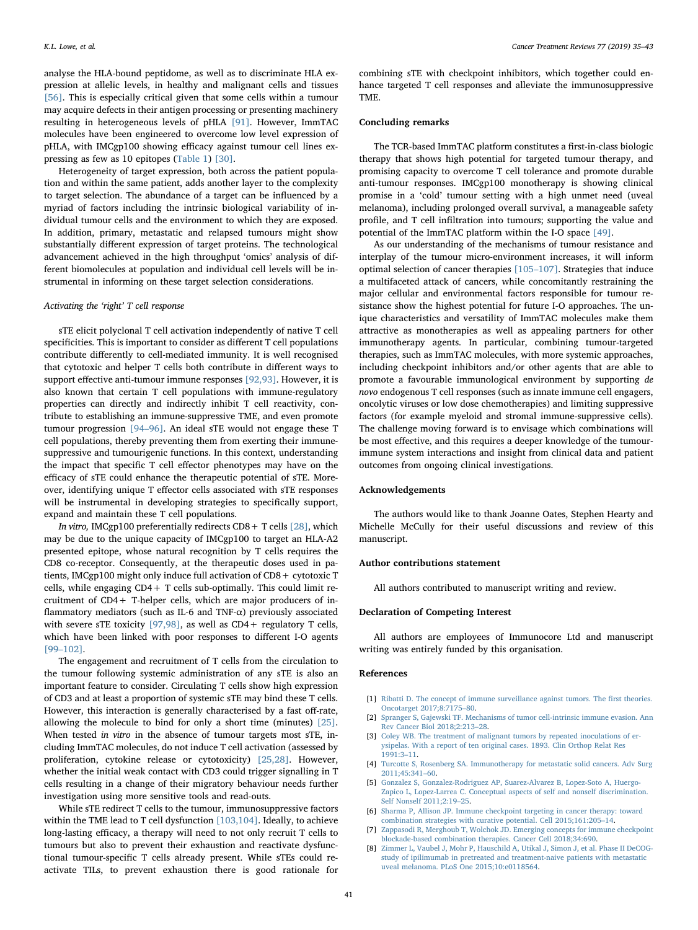analyse the HLA-bound peptidome, as well as to discriminate HLA expression at allelic levels, in healthy and malignant cells and tissues [\[56\]](#page-7-30). This is especially critical given that some cells within a tumour may acquire defects in their antigen processing or presenting machinery resulting in heterogeneous levels of pHLA [\[91\]](#page-8-14). However, ImmTAC molecules have been engineered to overcome low level expression of pHLA, with IMCgp100 showing efficacy against tumour cell lines expressing as few as 10 epitopes [\(Table 1\)](#page-3-1) [\[30\]](#page-7-43).

Heterogeneity of target expression, both across the patient population and within the same patient, adds another layer to the complexity to target selection. The abundance of a target can be influenced by a myriad of factors including the intrinsic biological variability of individual tumour cells and the environment to which they are exposed. In addition, primary, metastatic and relapsed tumours might show substantially different expression of target proteins. The technological advancement achieved in the high throughput 'omics' analysis of different biomolecules at population and individual cell levels will be instrumental in informing on these target selection considerations.

#### Activating the 'right' T cell response

sTE elicit polyclonal T cell activation independently of native T cell specificities. This is important to consider as different T cell populations contribute differently to cell-mediated immunity. It is well recognised that cytotoxic and helper T cells both contribute in different ways to support effective anti-tumour immune responses [\[92,93\].](#page-8-15) However, it is also known that certain T cell populations with immune-regulatory properties can directly and indirectly inhibit T cell reactivity, contribute to establishing an immune-suppressive TME, and even promote tumour progression [\[94](#page-8-16)–96]. An ideal sTE would not engage these T cell populations, thereby preventing them from exerting their immunesuppressive and tumourigenic functions. In this context, understanding the impact that specific T cell effector phenotypes may have on the efficacy of sTE could enhance the therapeutic potential of sTE. Moreover, identifying unique T effector cells associated with sTE responses will be instrumental in developing strategies to specifically support, expand and maintain these T cell populations.

In vitro, IMCgp100 preferentially redirects  $CD8 + T$  cells  $[28]$ , which may be due to the unique capacity of IMCgp100 to target an HLA-A2 presented epitope, whose natural recognition by T cells requires the CD8 co-receptor. Consequently, at the therapeutic doses used in patients, IMCgp100 might only induce full activation of CD8+ cytotoxic T cells, while engaging  $CD4+T$  cells sub-optimally. This could limit recruitment of CD4+ T-helper cells, which are major producers of inflammatory mediators (such as IL-6 and TNF-α) previously associated with severe sTE toxicity  $[97,98]$ , as well as CD4 + regulatory T cells, which have been linked with poor responses to different I-O agents [99–[102\].](#page-8-18)

The engagement and recruitment of T cells from the circulation to the tumour following systemic administration of any sTE is also an important feature to consider. Circulating T cells show high expression of CD3 and at least a proportion of systemic sTE may bind these T cells. However, this interaction is generally characterised by a fast off-rate, allowing the molecule to bind for only a short time (minutes) [\[25\]](#page-7-44). When tested in vitro in the absence of tumour targets most sTE, including ImmTAC molecules, do not induce T cell activation (assessed by proliferation, cytokine release or cytotoxicity) [\[25,28\].](#page-7-44) However, whether the initial weak contact with CD3 could trigger signalling in T cells resulting in a change of their migratory behaviour needs further investigation using more sensitive tools and read-outs.

While sTE redirect T cells to the tumour, immunosuppressive factors within the TME lead to T cell dysfunction [\[103,104\]](#page-8-19). Ideally, to achieve long-lasting efficacy, a therapy will need to not only recruit T cells to tumours but also to prevent their exhaustion and reactivate dysfunctional tumour-specific T cells already present. While sTEs could reactivate TILs, to prevent exhaustion there is good rationale for

combining sTE with checkpoint inhibitors, which together could enhance targeted T cell responses and alleviate the immunosuppressive TME.

#### Concluding remarks

The TCR-based ImmTAC platform constitutes a first-in-class biologic therapy that shows high potential for targeted tumour therapy, and promising capacity to overcome T cell tolerance and promote durable anti-tumour responses. IMCgp100 monotherapy is showing clinical promise in a 'cold' tumour setting with a high unmet need (uveal melanoma), including prolonged overall survival, a manageable safety profile, and T cell infiltration into tumours; supporting the value and potential of the ImmTAC platform within the I-O space [\[49\].](#page-7-25)

As our understanding of the mechanisms of tumour resistance and interplay of the tumour micro-environment increases, it will inform optimal selection of cancer therapies [\[105](#page-8-20)–107]. Strategies that induce a multifaceted attack of cancers, while concomitantly restraining the major cellular and environmental factors responsible for tumour resistance show the highest potential for future I-O approaches. The unique characteristics and versatility of ImmTAC molecules make them attractive as monotherapies as well as appealing partners for other immunotherapy agents. In particular, combining tumour-targeted therapies, such as ImmTAC molecules, with more systemic approaches, including checkpoint inhibitors and/or other agents that are able to promote a favourable immunological environment by supporting de novo endogenous T cell responses (such as innate immune cell engagers, oncolytic viruses or low dose chemotherapies) and limiting suppressive factors (for example myeloid and stromal immune-suppressive cells). The challenge moving forward is to envisage which combinations will be most effective, and this requires a deeper knowledge of the tumourimmune system interactions and insight from clinical data and patient outcomes from ongoing clinical investigations.

#### Acknowledgements

The authors would like to thank Joanne Oates, Stephen Hearty and Michelle McCully for their useful discussions and review of this manuscript.

#### Author contributions statement

All authors contributed to manuscript writing and review.

## Declaration of Competing Interest

All authors are employees of Immunocore Ltd and manuscript writing was entirely funded by this organisation.

#### References

- <span id="page-6-0"></span>[1] [Ribatti D. The concept of immune surveillance against tumors. The](http://refhub.elsevier.com/S0305-7372(19)30079-9/h0005) first theories. [Oncotarget 2017;8:7175](http://refhub.elsevier.com/S0305-7372(19)30079-9/h0005)–80.
- [2] [Spranger S, Gajewski TF. Mechanisms of tumor cell-intrinsic immune evasion. Ann](http://refhub.elsevier.com/S0305-7372(19)30079-9/h0010) [Rev Cancer Biol 2018;2:213](http://refhub.elsevier.com/S0305-7372(19)30079-9/h0010)–28.
- <span id="page-6-1"></span>[3] [Coley WB. The treatment of malignant tumors by repeated inoculations of er](http://refhub.elsevier.com/S0305-7372(19)30079-9/h0015)[ysipelas. With a report of ten original cases. 1893. Clin Orthop Relat Res](http://refhub.elsevier.com/S0305-7372(19)30079-9/h0015) [1991:3](http://refhub.elsevier.com/S0305-7372(19)30079-9/h0015)–11.
- [4] [Turcotte S, Rosenberg SA. Immunotherapy for metastatic solid cancers. Adv Surg](http://refhub.elsevier.com/S0305-7372(19)30079-9/h0020) [2011;45:341](http://refhub.elsevier.com/S0305-7372(19)30079-9/h0020)–60.
- [5] [Gonzalez S, Gonzalez-Rodriguez AP, Suarez-Alvarez B, Lopez-Soto A, Huergo-](http://refhub.elsevier.com/S0305-7372(19)30079-9/h0025)[Zapico L, Lopez-Larrea C. Conceptual aspects of self and nonself discrimination.](http://refhub.elsevier.com/S0305-7372(19)30079-9/h0025) [Self Nonself 2011;2:19](http://refhub.elsevier.com/S0305-7372(19)30079-9/h0025)–25.
- <span id="page-6-2"></span>[6] [Sharma P, Allison JP. Immune checkpoint targeting in cancer therapy: toward](http://refhub.elsevier.com/S0305-7372(19)30079-9/h0030) [combination strategies with curative potential. Cell 2015;161:205](http://refhub.elsevier.com/S0305-7372(19)30079-9/h0030)–14.
- <span id="page-6-3"></span>[Zappasodi R, Merghoub T, Wolchok JD. Emerging concepts for immune checkpoint](http://refhub.elsevier.com/S0305-7372(19)30079-9/h0035) [blockade-based combination therapies. Cancer Cell 2018;34:690.](http://refhub.elsevier.com/S0305-7372(19)30079-9/h0035)
- <span id="page-6-4"></span>[Zimmer L, Vaubel J, Mohr P, Hauschild A, Utikal J, Simon J, et al. Phase II DeCOG](http://refhub.elsevier.com/S0305-7372(19)30079-9/h0040)[study of ipilimumab in pretreated and treatment-naive patients with metastatic](http://refhub.elsevier.com/S0305-7372(19)30079-9/h0040) [uveal melanoma. PLoS One 2015;10:e0118564.](http://refhub.elsevier.com/S0305-7372(19)30079-9/h0040)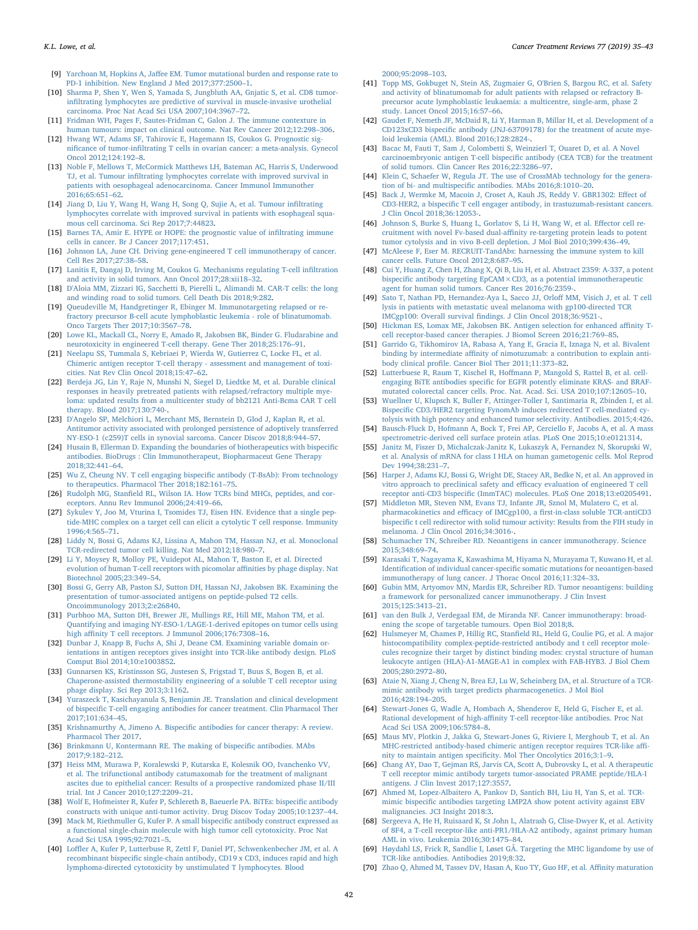- [9] Yarchoan M, Hopkins A, Jaff[ee EM. Tumor mutational burden and response rate to](http://refhub.elsevier.com/S0305-7372(19)30079-9/h0045) [PD-1 inhibition. New England J Med 2017;377:2500](http://refhub.elsevier.com/S0305-7372(19)30079-9/h0045)–1.
- <span id="page-7-0"></span>[10] [Sharma P, Shen Y, Wen S, Yamada S, Jungbluth AA, Gnjatic S, et al. CD8 tumor](http://refhub.elsevier.com/S0305-7372(19)30079-9/h0050)infi[ltrating lymphocytes are predictive of survival in muscle-invasive urothelial](http://refhub.elsevier.com/S0305-7372(19)30079-9/h0050) [carcinoma. Proc Nat Acad Sci USA 2007;104:3967](http://refhub.elsevier.com/S0305-7372(19)30079-9/h0050)–72.
- [11] [Fridman WH, Pages F, Sautes-Fridman C, Galon J. The immune contexture in](http://refhub.elsevier.com/S0305-7372(19)30079-9/h0055) [human tumours: impact on clinical outcome. Nat Rev Cancer 2012;12:298](http://refhub.elsevier.com/S0305-7372(19)30079-9/h0055)–306.
- [12] [Hwang WT, Adams SF, Tahirovic E, Hagemann IS, Coukos G. Prognostic sig](http://refhub.elsevier.com/S0305-7372(19)30079-9/h0060)nificance of tumor-infi[ltrating T cells in ovarian cancer: a meta-analysis. Gynecol](http://refhub.elsevier.com/S0305-7372(19)30079-9/h0060) [Oncol 2012;124:192](http://refhub.elsevier.com/S0305-7372(19)30079-9/h0060)–8.
- [13] [Noble F, Mellows T, McCormick Matthews LH, Bateman AC, Harris S, Underwood](http://refhub.elsevier.com/S0305-7372(19)30079-9/h0065) TJ, et al. Tumour infi[ltrating lymphocytes correlate with improved survival in](http://refhub.elsevier.com/S0305-7372(19)30079-9/h0065) [patients with oesophageal adenocarcinoma. Cancer Immunol Immunother](http://refhub.elsevier.com/S0305-7372(19)30079-9/h0065) [2016;65:651](http://refhub.elsevier.com/S0305-7372(19)30079-9/h0065)–62.
- [14] [Jiang D, Liu Y, Wang H, Wang H, Song Q, Sujie A, et al. Tumour in](http://refhub.elsevier.com/S0305-7372(19)30079-9/h0070)filtrating [lymphocytes correlate with improved survival in patients with esophageal squa](http://refhub.elsevier.com/S0305-7372(19)30079-9/h0070)[mous cell carcinoma. Sci Rep 2017;7:44823.](http://refhub.elsevier.com/S0305-7372(19)30079-9/h0070)
- [15] [Barnes TA, Amir E. HYPE or HOPE: the prognostic value of in](http://refhub.elsevier.com/S0305-7372(19)30079-9/h0075)filtrating immune [cells in cancer. Br J Cancer 2017;117:451.](http://refhub.elsevier.com/S0305-7372(19)30079-9/h0075)
- <span id="page-7-1"></span>[16] [Johnson LA, June CH. Driving gene-engineered T cell immunotherapy of cancer.](http://refhub.elsevier.com/S0305-7372(19)30079-9/h0080) [Cell Res 2017;27:38](http://refhub.elsevier.com/S0305-7372(19)30079-9/h0080)–58.
- <span id="page-7-2"></span>[17] [Lanitis E, Dangaj D, Irving M, Coukos G. Mechanisms regulating T-cell in](http://refhub.elsevier.com/S0305-7372(19)30079-9/h0085)filtration [and activity in solid tumors. Ann Oncol 2017;28:xii18](http://refhub.elsevier.com/S0305-7372(19)30079-9/h0085)–32.
- <span id="page-7-3"></span>[18] [D'Aloia MM, Zizzari IG, Sacchetti B, Pierelli L, Alimandi M. CAR-T cells: the long](http://refhub.elsevier.com/S0305-7372(19)30079-9/h0090) [and winding road to solid tumors. Cell Death Dis 2018;9:282.](http://refhub.elsevier.com/S0305-7372(19)30079-9/h0090)
- <span id="page-7-4"></span>[19] [Queudeville M, Handgretinger R, Ebinger M. Immunotargeting relapsed or re](http://refhub.elsevier.com/S0305-7372(19)30079-9/h0095)[fractory precursor B-cell acute lymphoblastic leukemia - role of blinatumomab.](http://refhub.elsevier.com/S0305-7372(19)30079-9/h0095) [Onco Targets Ther 2017;10:3567](http://refhub.elsevier.com/S0305-7372(19)30079-9/h0095)–78.
- <span id="page-7-5"></span>[20] [Lowe KL, Mackall CL, Norry E, Amado R, Jakobsen BK, Binder G. Fludarabine and](http://refhub.elsevier.com/S0305-7372(19)30079-9/h0100) [neurotoxicity in engineered T-cell therapy. Gene Ther 2018;25:176](http://refhub.elsevier.com/S0305-7372(19)30079-9/h0100)–91.
- [21] [Neelapu SS, Tummala S, Kebriaei P, Wierda W, Gutierrez C, Locke FL, et al.](http://refhub.elsevier.com/S0305-7372(19)30079-9/h0105) [Chimeric antigen receptor T-cell therapy - assessment and management of toxi](http://refhub.elsevier.com/S0305-7372(19)30079-9/h0105)[cities. Nat Rev Clin Oncol 2018;15:47](http://refhub.elsevier.com/S0305-7372(19)30079-9/h0105)–62.
- <span id="page-7-6"></span>[22] [Berdeja JG, Lin Y, Raje N, Munshi N, Siegel D, Liedtke M, et al. Durable clinical](http://refhub.elsevier.com/S0305-7372(19)30079-9/h0110) [responses in heavily pretreated patients with relapsed/refractory multiple mye](http://refhub.elsevier.com/S0305-7372(19)30079-9/h0110)[loma: updated results from a multicenter study of bb2121 Anti-Bcma CAR T cell](http://refhub.elsevier.com/S0305-7372(19)30079-9/h0110) [therapy. Blood 2017;130:740-.](http://refhub.elsevier.com/S0305-7372(19)30079-9/h0110)
- <span id="page-7-7"></span>[23] [D'Angelo SP, Melchiori L, Merchant MS, Bernstein D, Glod J, Kaplan R, et al.](http://refhub.elsevier.com/S0305-7372(19)30079-9/h0115) Antitumor [activity associated with prolonged persistence of adoptively transferred](http://refhub.elsevier.com/S0305-7372(19)30079-9/h0115) [NY-ESO-1 \(c259\)T cells in synovial sarcoma. Cancer Discov 2018;8:944](http://refhub.elsevier.com/S0305-7372(19)30079-9/h0115)–57.
- <span id="page-7-8"></span>[24] [Husain B, Ellerman D. Expanding the boundaries of biotherapeutics with bispeci](http://refhub.elsevier.com/S0305-7372(19)30079-9/h0120)fic [antibodies. BioDrugs : Clin Immunotherapeut, Biopharmaceut Gene Therapy](http://refhub.elsevier.com/S0305-7372(19)30079-9/h0120) [2018;32:441](http://refhub.elsevier.com/S0305-7372(19)30079-9/h0120)–64.
- <span id="page-7-44"></span>[25] [Wu Z, Cheung NV. T cell engaging bispeci](http://refhub.elsevier.com/S0305-7372(19)30079-9/h0125)fic antibody (T-BsAb): From technology [to therapeutics. Pharmacol Ther 2018;182:161](http://refhub.elsevier.com/S0305-7372(19)30079-9/h0125)–75.
- <span id="page-7-9"></span>[26] Rudolph MG, Stanfi[eld RL, Wilson IA. How TCRs bind MHCs, peptides, and cor](http://refhub.elsevier.com/S0305-7372(19)30079-9/h0130)[eceptors. Annu Rev Immunol 2006;24:419](http://refhub.elsevier.com/S0305-7372(19)30079-9/h0130)–66.
- <span id="page-7-10"></span>[27] [Sykulev Y, Joo M, Vturina I, Tsomides TJ, Eisen HN. Evidence that a single pep](http://refhub.elsevier.com/S0305-7372(19)30079-9/h0135)[tide-MHC complex on a target cell can elicit a cytolytic T cell response. Immunity](http://refhub.elsevier.com/S0305-7372(19)30079-9/h0135) [1996;4:565](http://refhub.elsevier.com/S0305-7372(19)30079-9/h0135)–71.
- <span id="page-7-11"></span>[28] [Liddy N, Bossi G, Adams KJ, Lissina A, Mahon TM, Hassan NJ, et al. Monoclonal](http://refhub.elsevier.com/S0305-7372(19)30079-9/h0140) [TCR-redirected tumor cell killing. Nat Med 2012;18:980](http://refhub.elsevier.com/S0305-7372(19)30079-9/h0140)–7.
- <span id="page-7-12"></span>[29] [Li Y, Moysey R, Molloy PE, Vuidepot AL, Mahon T, Baston E, et al. Directed](http://refhub.elsevier.com/S0305-7372(19)30079-9/h0145) [evolution of human T-cell receptors with picomolar a](http://refhub.elsevier.com/S0305-7372(19)30079-9/h0145)ffinities by phage display. Nat [Biotechnol 2005;23:349](http://refhub.elsevier.com/S0305-7372(19)30079-9/h0145)–54.
- <span id="page-7-43"></span>[30] [Bossi G, Gerry AB, Paston SJ, Sutton DH, Hassan NJ, Jakobsen BK. Examining the](http://refhub.elsevier.com/S0305-7372(19)30079-9/h0150) [presentation of tumor-associated antigens on peptide-pulsed T2 cells.](http://refhub.elsevier.com/S0305-7372(19)30079-9/h0150) [Oncoimmunology 2013;2:e26840.](http://refhub.elsevier.com/S0305-7372(19)30079-9/h0150)
- [31] [Purbhoo MA, Sutton DH, Brewer JE, Mullings RE, Hill ME, Mahon TM, et al.](http://refhub.elsevier.com/S0305-7372(19)30079-9/h0155) [Quantifying and imaging NY-ESO-1/LAGE-1-derived epitopes on tumor cells using](http://refhub.elsevier.com/S0305-7372(19)30079-9/h0155) high affi[nity T cell receptors. J Immunol 2006;176:7308](http://refhub.elsevier.com/S0305-7372(19)30079-9/h0155)–16.
- <span id="page-7-13"></span>[32] [Dunbar J, Knapp B, Fuchs A, Shi J, Deane CM. Examining variable domain or](http://refhub.elsevier.com/S0305-7372(19)30079-9/h0160)[ientations in antigen receptors gives insight into TCR-like antibody design. PLoS](http://refhub.elsevier.com/S0305-7372(19)30079-9/h0160) [Comput Biol 2014;10:e1003852.](http://refhub.elsevier.com/S0305-7372(19)30079-9/h0160)
- <span id="page-7-14"></span>[33] [Gunnarsen KS, Kristinsson SG, Justesen S, Frigstad T, Buus S, Bogen B, et al.](http://refhub.elsevier.com/S0305-7372(19)30079-9/h0165) [Chaperone-assisted thermostability engineering of a soluble T cell receptor using](http://refhub.elsevier.com/S0305-7372(19)30079-9/h0165) [phage display. Sci Rep 2013;3:1162.](http://refhub.elsevier.com/S0305-7372(19)30079-9/h0165)
- <span id="page-7-18"></span>[34] [Yuraszeck T, Kasichayanula S, Benjamin JE. Translation and clinical development](http://refhub.elsevier.com/S0305-7372(19)30079-9/h0170) of bispecifi[c T-cell engaging antibodies for cancer treatment. Clin Pharmacol Ther](http://refhub.elsevier.com/S0305-7372(19)30079-9/h0170) [2017;101:634](http://refhub.elsevier.com/S0305-7372(19)30079-9/h0170)–45.
- [35] Krishnamurthy A, Jimeno A. Bispecifi[c antibodies for cancer therapy: A review.](http://refhub.elsevier.com/S0305-7372(19)30079-9/h0175) [Pharmacol Ther 2017.](http://refhub.elsevier.com/S0305-7372(19)30079-9/h0175)
- <span id="page-7-16"></span>[36] [Brinkmann U, Kontermann RE. The making of bispeci](http://refhub.elsevier.com/S0305-7372(19)30079-9/h0180)fic antibodies. MAbs [2017;9:182](http://refhub.elsevier.com/S0305-7372(19)30079-9/h0180)–212.
- <span id="page-7-15"></span>[37] [Heiss MM, Murawa P, Koralewski P, Kutarska E, Kolesnik OO, Ivanchenko VV,](http://refhub.elsevier.com/S0305-7372(19)30079-9/h0185) [et al. The trifunctional antibody catumaxomab for the treatment of malignant](http://refhub.elsevier.com/S0305-7372(19)30079-9/h0185) ascites [due to epithelial cancer: Results of a prospective randomized phase II/III](http://refhub.elsevier.com/S0305-7372(19)30079-9/h0185) [trial. Int J Cancer 2010;127:2209](http://refhub.elsevier.com/S0305-7372(19)30079-9/h0185)–21.
- <span id="page-7-17"></span>[38] [Wolf E, Hofmeister R, Kufer P, Schlereth B, Baeuerle PA. BiTEs: bispeci](http://refhub.elsevier.com/S0305-7372(19)30079-9/h0190)fic antibody [constructs with unique anti-tumor activity. Drug Discov Today 2005;10:1237](http://refhub.elsevier.com/S0305-7372(19)30079-9/h0190)–44.
- [39] [Mack M, Riethmuller G, Kufer P. A small bispeci](http://refhub.elsevier.com/S0305-7372(19)30079-9/h0195)fic antibody construct expressed as [a functional single-chain molecule with high tumor cell cytotoxicity. Proc Nat](http://refhub.elsevier.com/S0305-7372(19)30079-9/h0195) [Acad Sci USA 1995;92:7021](http://refhub.elsevier.com/S0305-7372(19)30079-9/h0195)–5.
- [40] Loffl[er A, Kufer P, Lutterbuse R, Zettl F, Daniel PT, Schwenkenbecher JM, et al. A](http://refhub.elsevier.com/S0305-7372(19)30079-9/h0200) recombinant bispecifi[c single-chain antibody, CD19 x CD3, induces rapid and high](http://refhub.elsevier.com/S0305-7372(19)30079-9/h0200) [lymphoma-directed cytotoxicity by unstimulated T lymphocytes. Blood](http://refhub.elsevier.com/S0305-7372(19)30079-9/h0200)

[2000;95:2098](http://refhub.elsevier.com/S0305-7372(19)30079-9/h0200)–103.

- [41] [Topp MS, Gokbuget N, Stein AS, Zugmaier G, O'Brien S, Bargou RC, et al. Safety](http://refhub.elsevier.com/S0305-7372(19)30079-9/h0205) [and activity of blinatumomab for adult patients with relapsed or refractory B](http://refhub.elsevier.com/S0305-7372(19)30079-9/h0205)[precursor acute lymphoblastic leukaemia: a multicentre, single-arm, phase 2](http://refhub.elsevier.com/S0305-7372(19)30079-9/h0205) [study. Lancet Oncol 2015;16:57](http://refhub.elsevier.com/S0305-7372(19)30079-9/h0205)–66.
- <span id="page-7-19"></span>[42] [Gaudet F, Nemeth JF, McDaid R, Li Y, Harman B, Millar H, et al. Development of a](http://refhub.elsevier.com/S0305-7372(19)30079-9/h0210) CD123xCD3 bispecifi[c antibody \(JNJ-63709178\) for the treatment of acute mye](http://refhub.elsevier.com/S0305-7372(19)30079-9/h0210)[loid leukemia \(AML\). Blood 2016;128:2824-.](http://refhub.elsevier.com/S0305-7372(19)30079-9/h0210)
- <span id="page-7-20"></span>[43] [Bacac M, Fauti T, Sam J, Colombetti S, Weinzierl T, Ouaret D, et al. A Novel](http://refhub.elsevier.com/S0305-7372(19)30079-9/h0215) carcinoembryonic antigen T-cell bispecifi[c antibody \(CEA TCB\) for the treatment](http://refhub.elsevier.com/S0305-7372(19)30079-9/h0215) [of solid tumors. Clin Cancer Res 2016;22:3286](http://refhub.elsevier.com/S0305-7372(19)30079-9/h0215)–97.
- [44] [Klein C, Schaefer W, Regula JT. The use of CrossMAb technology for the genera](http://refhub.elsevier.com/S0305-7372(19)30079-9/h0220)tion of bi- and multispecifi[c antibodies. MAbs 2016;8:1010](http://refhub.elsevier.com/S0305-7372(19)30079-9/h0220)–20.
- <span id="page-7-21"></span>[45] [Back J, Wermke M, Macoin J, Croset A, Kauh JS, Reddy V. GBR1302: E](http://refhub.elsevier.com/S0305-7372(19)30079-9/h0225)ffect of CD3-HER2, a bispecifi[c T cell engager antibody, in trastuzumab-resistant cancers.](http://refhub.elsevier.com/S0305-7372(19)30079-9/h0225) [J Clin Oncol 2018;36:12053-.](http://refhub.elsevier.com/S0305-7372(19)30079-9/h0225)
- <span id="page-7-22"></span>[46] [Johnson S, Burke S, Huang L, Gorlatov S, Li H, Wang W, et al. E](http://refhub.elsevier.com/S0305-7372(19)30079-9/h0230)ffector cell recruitment with novel Fv-based dual-affi[nity re-targeting protein leads to potent](http://refhub.elsevier.com/S0305-7372(19)30079-9/h0230) [tumor cytolysis and in vivo B-cell depletion. J Mol Biol 2010;399:436](http://refhub.elsevier.com/S0305-7372(19)30079-9/h0230)–49.
- <span id="page-7-23"></span>[47] [McAleese F, Eser M. RECRUIT-TandAbs: harnessing the immune system to kill](http://refhub.elsevier.com/S0305-7372(19)30079-9/h0235) [cancer cells. Future Oncol 2012;8:687](http://refhub.elsevier.com/S0305-7372(19)30079-9/h0235)–95.
- <span id="page-7-24"></span>[48] [Cui Y, Huang Z, Chen H, Zhang X, Qi B, Liu H, et al. Abstract 2359: A-337, a potent](http://refhub.elsevier.com/S0305-7372(19)30079-9/h0240) bispecifi[c antibody targeting EpCAM×CD3, as a potential immunotherapeutic](http://refhub.elsevier.com/S0305-7372(19)30079-9/h0240) [agent for human solid tumors. Cancer Res 2016;76:2359-.](http://refhub.elsevier.com/S0305-7372(19)30079-9/h0240)
- <span id="page-7-25"></span>[49] [Sato T, Nathan PD, Hernandez-Aya L, Sacco JJ, Orlo](http://refhub.elsevier.com/S0305-7372(19)30079-9/h0245)ff MM, Visich J, et al. T cell [lysis in patients with metastatic uveal melanoma with gp100-directed TCR](http://refhub.elsevier.com/S0305-7372(19)30079-9/h0245) IMCgp100: Overall survival fi[ndings. J Clin Oncol 2018;36:9521-.](http://refhub.elsevier.com/S0305-7372(19)30079-9/h0245)
- <span id="page-7-26"></span>[50] [Hickman ES, Lomax ME, Jakobsen BK. Antigen selection for enhanced a](http://refhub.elsevier.com/S0305-7372(19)30079-9/h0250)ffinity T[cell receptor-based cancer therapies. J Biomol Screen 2016;21:769](http://refhub.elsevier.com/S0305-7372(19)30079-9/h0250)–85.
- <span id="page-7-27"></span>[51] [Garrido G, Tikhomirov IA, Rabasa A, Yang E, Gracia E, Iznaga N, et al. Bivalent](http://refhub.elsevier.com/S0305-7372(19)30079-9/h0255) binding by intermediate affi[nity of nimotuzumab: a contribution to explain anti](http://refhub.elsevier.com/S0305-7372(19)30079-9/h0255)body clinical profi[le. Cancer Biol Ther 2011;11:373](http://refhub.elsevier.com/S0305-7372(19)30079-9/h0255)–82.
- [52] Lutterbuese R, Raum T, Kischel R, Hoff[mann P, Mangold S, Rattel B, et al. cell](http://refhub.elsevier.com/S0305-7372(19)30079-9/h0260)engaging BiTE antibodies specifi[c for EGFR potently eliminate KRAS- and BRAF](http://refhub.elsevier.com/S0305-7372(19)30079-9/h0260)[mutated colorectal cancer cells. Proc. Nat. Acad. Sci. USA 2010;107:12605](http://refhub.elsevier.com/S0305-7372(19)30079-9/h0260)–10.
- [53] [Wuellner U, Klupsch K, Buller F, Attinger-Toller I, Santimaria R, Zbinden I, et al.](http://refhub.elsevier.com/S0305-7372(19)30079-9/h0265) Bispecifi[c CD3/HER2 targeting FynomAb induces redirected T cell-mediated cy](http://refhub.elsevier.com/S0305-7372(19)30079-9/h0265)[tolysis with high potency and enhanced tumor selectivity. Antibodies. 2015;4:426.](http://refhub.elsevier.com/S0305-7372(19)30079-9/h0265)
- <span id="page-7-28"></span>[54] [Bausch-Fluck D, Hofmann A, Bock T, Frei AP, Cerciello F, Jacobs A, et al. A mass](http://refhub.elsevier.com/S0305-7372(19)30079-9/h0270) [spectrometric-derived cell surface protein atlas. PLoS One 2015;10:e0121314.](http://refhub.elsevier.com/S0305-7372(19)30079-9/h0270)
- <span id="page-7-29"></span>[55] [Janitz M, Fiszer D, Michalczak-Janitz K, Lukaszyk A, Fernandez N, Skorupski W,](http://refhub.elsevier.com/S0305-7372(19)30079-9/h0275) [et al. Analysis of mRNA for class I HLA on human gametogenic cells. Mol Reprod](http://refhub.elsevier.com/S0305-7372(19)30079-9/h0275) [Dev 1994;38:231](http://refhub.elsevier.com/S0305-7372(19)30079-9/h0275)–7.
- <span id="page-7-30"></span>[56] [Harper J, Adams KJ, Bossi G, Wright DE, Stacey AR, Bedke N, et al. An approved in](http://refhub.elsevier.com/S0305-7372(19)30079-9/h0280) [vitro approach to preclinical safety and e](http://refhub.elsevier.com/S0305-7372(19)30079-9/h0280)fficacy evaluation of engineered T cell receptor anti-CD3 bispecifi[c \(ImmTAC\) molecules. PLoS One 2018;13:e0205491.](http://refhub.elsevier.com/S0305-7372(19)30079-9/h0280)
- [57] [Middleton MR, Steven NM, Evans TJ, Infante JR, Sznol M, Mulatero C, et al.](http://refhub.elsevier.com/S0305-7372(19)30079-9/h0285) pharmacokinetics and efficacy of IMCgp100, a fi[rst-in-class soluble TCR-antiCD3](http://refhub.elsevier.com/S0305-7372(19)30079-9/h0285) bispecifi[c t cell redirector with solid tumour activity: Results from the FIH study in](http://refhub.elsevier.com/S0305-7372(19)30079-9/h0285) [melanoma. J Clin Oncol 2016;34:3016-.](http://refhub.elsevier.com/S0305-7372(19)30079-9/h0285)
- <span id="page-7-31"></span>[58] [Schumacher TN, Schreiber RD. Neoantigens in cancer immunotherapy. Science](http://refhub.elsevier.com/S0305-7372(19)30079-9/h0290) [2015;348:69](http://refhub.elsevier.com/S0305-7372(19)30079-9/h0290)–74.
- <span id="page-7-32"></span>[59] [Karasaki T, Nagayama K, Kawashima M, Hiyama N, Murayama T, Kuwano H, et al.](http://refhub.elsevier.com/S0305-7372(19)30079-9/h0295) Identification of individual cancer-specifi[c somatic mutations for neoantigen-based](http://refhub.elsevier.com/S0305-7372(19)30079-9/h0295) [immunotherapy of lung cancer. J Thorac Oncol 2016;11:324](http://refhub.elsevier.com/S0305-7372(19)30079-9/h0295)–33.
- [60] [Gubin MM, Artyomov MN, Mardis ER, Schreiber RD. Tumor neoantigens: building](http://refhub.elsevier.com/S0305-7372(19)30079-9/h0300) [a framework for personalized cancer immunotherapy. J Clin Invest](http://refhub.elsevier.com/S0305-7372(19)30079-9/h0300) [2015;125:3413](http://refhub.elsevier.com/S0305-7372(19)30079-9/h0300)–21.
- <span id="page-7-33"></span>[61] [van den Bulk J, Verdegaal EM, de Miranda NF. Cancer immunotherapy: broad](http://refhub.elsevier.com/S0305-7372(19)30079-9/h0305)ening [the scope of targetable tumours. Open Biol 2018;8.](http://refhub.elsevier.com/S0305-7372(19)30079-9/h0305)
- <span id="page-7-34"></span>[62] Hulsmeyer M, Chames P, Hillig RC, Stanfi[eld RL, Held G, Coulie PG, et al. A major](http://refhub.elsevier.com/S0305-7372(19)30079-9/h0310) [histocompatibility complex-peptide-restricted antibody and t cell receptor mole](http://refhub.elsevier.com/S0305-7372(19)30079-9/h0310)[cules recognize their target by distinct binding modes: crystal structure of human](http://refhub.elsevier.com/S0305-7372(19)30079-9/h0310) [leukocyte antigen \(HLA\)-A1-MAGE-A1 in complex with FAB-HYB3. J Biol Chem](http://refhub.elsevier.com/S0305-7372(19)30079-9/h0310) [2005;280:2972](http://refhub.elsevier.com/S0305-7372(19)30079-9/h0310)–80.
- <span id="page-7-35"></span>[63] [Ataie N, Xiang J, Cheng N, Brea EJ, Lu W, Scheinberg DA, et al. Structure of a TCR](http://refhub.elsevier.com/S0305-7372(19)30079-9/h0315)[mimic antibody with target predicts pharmacogenetics. J Mol Biol](http://refhub.elsevier.com/S0305-7372(19)30079-9/h0315) [2016;428:194](http://refhub.elsevier.com/S0305-7372(19)30079-9/h0315)–205.
- <span id="page-7-36"></span>[64] [Stewart-Jones G, Wadle A, Hombach A, Shenderov E, Held G, Fischer E, et al.](http://refhub.elsevier.com/S0305-7372(19)30079-9/h0320) Rational development of high-affi[nity T-cell receptor-like antibodies. Proc Nat](http://refhub.elsevier.com/S0305-7372(19)30079-9/h0320) [Acad Sci USA 2009;106:5784](http://refhub.elsevier.com/S0305-7372(19)30079-9/h0320)–8.
- <span id="page-7-37"></span>[65] [Maus MV, Plotkin J, Jakka G, Stewart-Jones G, Riviere I, Merghoub T, et al. An](http://refhub.elsevier.com/S0305-7372(19)30079-9/h0325) [MHC-restricted antibody-based chimeric antigen receptor requires TCR-like a](http://refhub.elsevier.com/S0305-7372(19)30079-9/h0325)ffinity to maintain antigen specifi[city. Mol Ther Oncolytics 2016;3:1](http://refhub.elsevier.com/S0305-7372(19)30079-9/h0325)–9.
- <span id="page-7-38"></span>[66] [Chang AY, Dao T, Gejman RS, Jarvis CA, Scott A, Dubrovsky L, et al. A therapeutic](http://refhub.elsevier.com/S0305-7372(19)30079-9/h0330) [T cell receptor mimic antibody targets tumor-associated PRAME peptide/HLA-I](http://refhub.elsevier.com/S0305-7372(19)30079-9/h0330) [antigens. J Clin Invest 2017;127:3557.](http://refhub.elsevier.com/S0305-7372(19)30079-9/h0330)
- <span id="page-7-39"></span>[67] [Ahmed M, Lopez-Albaitero A, Pankov D, Santich BH, Liu H, Yan S, et al. TCR](http://refhub.elsevier.com/S0305-7372(19)30079-9/h0335)mimic bispecifi[c antibodies targeting LMP2A show potent activity against EBV](http://refhub.elsevier.com/S0305-7372(19)30079-9/h0335) [malignancies. JCI Insight 2018:3.](http://refhub.elsevier.com/S0305-7372(19)30079-9/h0335)
- <span id="page-7-40"></span>[68] [Sergeeva A, He H, Ruisaard K, St John L, Alatrash G, Clise-Dwyer K, et al. Activity](http://refhub.elsevier.com/S0305-7372(19)30079-9/h0340) [of 8F4, a T-cell receptor-like anti-PR1/HLA-A2 antibody, against primary human](http://refhub.elsevier.com/S0305-7372(19)30079-9/h0340) [AML in vivo. Leukemia 2016;30:1475](http://refhub.elsevier.com/S0305-7372(19)30079-9/h0340)–84.
- <span id="page-7-41"></span>[69] [Høydahl LS, Frick R, Sandlie I, Løset GÅ. Targeting the MHC ligandome by use of](http://refhub.elsevier.com/S0305-7372(19)30079-9/h0345) [TCR-like antibodies. Antibodies 2019;8:32.](http://refhub.elsevier.com/S0305-7372(19)30079-9/h0345)
- <span id="page-7-42"></span>[70] [Zhao Q, Ahmed M, Tassev DV, Hasan A, Kuo TY, Guo HF, et al. A](http://refhub.elsevier.com/S0305-7372(19)30079-9/h0350)ffinity maturation